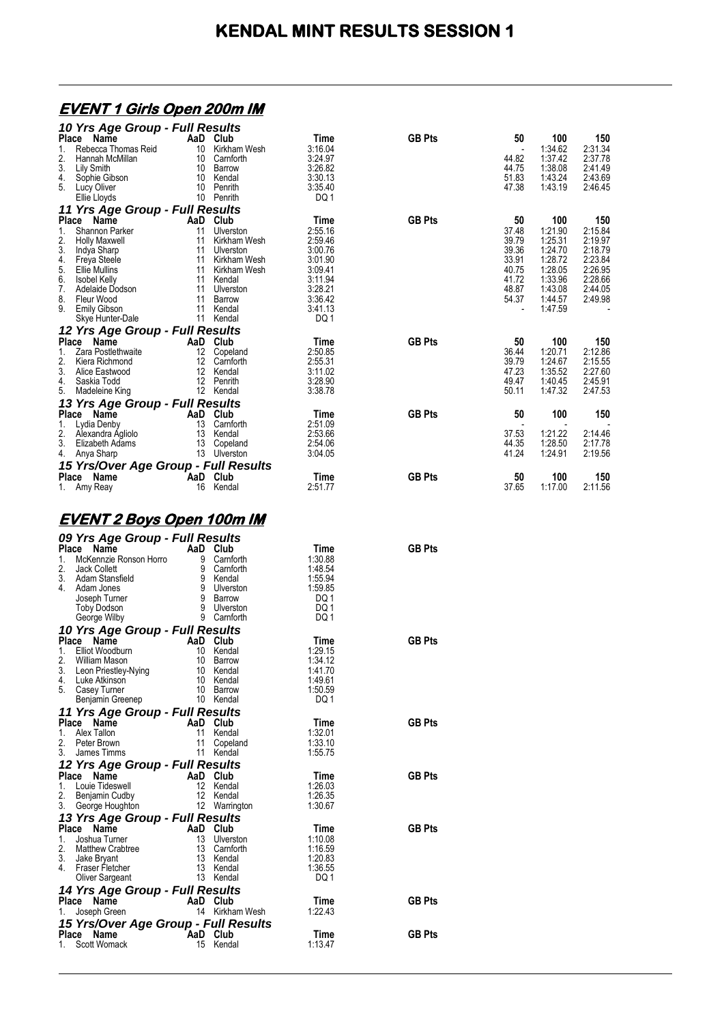#### **EVENT 1 Girls Open 200m IM**

|               | 10 Yrs Age Group - Full Results      |              |         |               |       |         |         |
|---------------|--------------------------------------|--------------|---------|---------------|-------|---------|---------|
| Place         | Name<br>AaD                          | Club         | Time    | <b>GB Pts</b> | 50    | 100     | 150     |
|               | Rebecca Thomas Reid<br>10            | Kirkham Wesh | 3:16.04 |               |       | 1:34.62 | 2:31.34 |
| 2.            | 10<br>Hannah McMillan                | Camforth     | 3:24.97 |               | 44.82 | 1:37.42 | 2:37.78 |
| 3.            | Lily Smith<br>10                     | Barrow       | 3:26.82 |               | 44.75 | 1:38.08 | 2:41.49 |
| 4.            | 10<br>Sophie Gibson                  | Kendal       | 3:30.13 |               | 51.83 | 1:43.24 | 2:43.69 |
| 5.            | 10<br>Lucy Oliver                    | Penrith      | 3:35.40 |               | 47.38 | 1:43.19 | 2:46.45 |
|               | 10<br>Ellie Lloyds                   | Penrith      | DQ1     |               |       |         |         |
|               | 11 Yrs Age Group - Full Results      |              |         |               |       |         |         |
| Place         | Name                                 | AaD Club     | Time    | <b>GB Pts</b> | 50    | 100     | 150     |
| 1.            | Shannon Parker<br>11                 | Ulverston    | 2:55.16 |               | 37.48 | 1:21.90 | 2:15.84 |
|               | 11<br><b>Holly Maxwell</b>           | Kirkham Wesh | 2:59.46 |               | 39.79 | 1:25.31 | 2:19.97 |
| $\frac{2}{3}$ | Indya Sharp<br>11                    | Ulverston    | 3:00.76 |               | 39.36 | 1:24.70 | 2:18.79 |
| 4.<br>5.      | 11<br>Freya Steele                   | Kirkham Wesh | 3:01.90 |               | 33.91 | 1:28.72 | 2:23.84 |
|               | <b>Ellie Mullins</b><br>11           | Kirkham Wesh | 3:09.41 |               | 40.75 | 1:28.05 | 2:26.95 |
| 6.            | 11<br><b>Isobel Kelly</b>            | Kendal       | 3:11.94 |               | 41.72 | 1:33.96 | 2:28.66 |
| 7.            | 11<br>Adelaide Dodson                | Ulverston    | 3:28.21 |               | 48.87 | 1:43.08 | 2:44.05 |
| 8.            | 11<br>Fleur Wood                     | Barrow       | 3:36.42 |               | 54.37 | 1:44.57 | 2:49.98 |
| 9.            | 11<br><b>Emily Gibson</b>            | Kendal       | 3:41.13 |               |       | 1:47.59 |         |
|               | 11<br>Skye Hunter-Dale               | Kendal       | DQ 1    |               |       |         |         |
|               | 12 Yrs Age Group - Full Results      |              |         |               |       |         |         |
| <b>Place</b>  | <b>Name</b><br>AaD                   | Club         | Time    | <b>GB Pts</b> | 50    | 100     | 150     |
| 1.            | Zara Postlethwaite<br>12             | Copeland     | 2:50.85 |               | 36.44 | 1:20.71 | 2:12.86 |
| 2.            | 12<br>Kiera Richmond                 | Camforth     | 2:55.31 |               | 39.79 | 1:24.67 | 2:15.55 |
| 3.            | Alice Eastwood<br>12                 | Kendal       | 3:11.02 |               | 47.23 | 1:35.52 | 2:27.60 |
| 4.            | Saskia Todd<br>12                    | Penrith      | 3:28.90 |               | 49.47 | 1:40.45 | 2:45.91 |
| 5.            | Madeleine King                       | 12 Kendal    | 3:38.78 |               | 50.11 | 1:47.32 | 2:47.53 |
|               | 13 Yrs Age Group - Full Results      |              |         |               |       |         |         |
|               | Place Name<br>AaD                    | Club         | Time    | <b>GB Pts</b> | 50    | 100     | 150     |
| 1.            | 13<br>Lydia Denby                    | Camforth     | 2:51.09 |               |       |         |         |
| 2.            | 13<br>Alexandra Agliolo              | Kendal       | 2:53.66 |               | 37.53 | 1:21.22 | 2:14.46 |
| 3.            | 13<br>Elizabeth Adams                | Copeland     | 2:54.06 |               | 44.35 | 1:28.50 | 2:17.78 |
| 4.            | 13<br>Anya Sharp                     | Ulverston    | 3:04.05 |               | 41.24 | 1:24.91 | 2:19.56 |
|               | 15 Yrs/Over Age Group - Full Results |              |         |               |       |         |         |
| Place         | Name<br>AaD                          | Club         | Time    | <b>GB Pts</b> | 50    | 100     | 150     |
| 1.            | Amy Reay<br>16                       | Kendal       | 2:51.77 |               | 37.65 | 1:17.00 | 2:11.56 |

#### **EVENT 2 Boys Open 100m IM**

|              | 09 Yrs Age Group - Full Results                        |                                    |                         |                    |               |
|--------------|--------------------------------------------------------|------------------------------------|-------------------------|--------------------|---------------|
|              | Place<br>Name                                          | AaD Club                           |                         | Time               | <b>GB Pts</b> |
| 1.<br>2.     | McKennzie Ronson Horro<br>Jack Collett                 | 9<br>9                             | Carnforth<br>Camforth   | 1:30.88<br>1:48.54 |               |
| 3.           | Adam Stansfield                                        |                                    |                         | 1:55.94            |               |
| 4            | d<br>9 Kendal<br>9 Ulverston<br>9 Barrow<br>Adam Jones |                                    |                         | 1:59.85            |               |
|              | Joseph Turner                                          |                                    |                         | DQ 1               |               |
|              | $\frac{9}{9}$<br>Toby Dodson                           |                                    | Ulverston               | DQ 1               |               |
|              | George Wilby                                           |                                    | 9 Camforth              | DQ 1               |               |
|              | 10 Yrs Age Group - Full Results                        |                                    |                         |                    |               |
|              | Place<br>Name                                          | AaD Club                           |                         | Time               | <b>GB Pts</b> |
| 1.           | Elliot Woodburn                                        | 10                                 | Kendal                  | 1:29.15            |               |
| 2.<br>3.     | William Mason                                          | 10<br>10                           | Barrow<br>Kendal        | 1:34.12<br>1:41.70 |               |
| 4.           |                                                        |                                    | 10 Kendal               | 1:49.61            |               |
| 5.           | Leon Priestley-Nying<br>Luke Atkinson<br>Casey Turner  | 10                                 | Barrow                  | 1:50.59            |               |
|              | Benjamin Greenep                                       | 10                                 | Kendal                  | DQ 1               |               |
|              | 11 Yrs Age Group - Full Results                        |                                    |                         |                    |               |
| Place        | Name                                                   | AaD                                | Club                    | Time               | <b>GB Pts</b> |
| 1.           | Alex Tallon                                            | 11                                 | Kendal                  | 1:32.01            |               |
| 2.           | Peter Brown                                            | 11                                 | Copeland                | 1:33.10            |               |
| 3.           | James Timms                                            | 11                                 | Kendal                  | 1:55.75            |               |
|              | 12 Yrs Age Group - Full Results                        |                                    |                         |                    |               |
|              | Place<br>Name                                          | and AaD                            | Club                    | Time               | <b>GB Pts</b> |
| 1.           | Louie Tideswell                                        | 12                                 | Kendal                  | 1:26.03            |               |
| 2.<br>3.     | Benjamin Cudby                                         | 12                                 | Kendal<br>12 Warrington | 1:26.35<br>1:30.67 |               |
|              | George Houghton                                        |                                    |                         |                    |               |
|              | 13 Yrs Age Group - Full Results<br>Place<br>Name       |                                    |                         | Time               | <b>GB Pts</b> |
| 1.           | Joshua Turner                                          | <b>AaD Club</b><br>13 Ulvers<br>13 | Ulverston               | 1:10.08            |               |
| 2.           | <b>Matthew Crabtree</b>                                | 13                                 | Camforth                | 1:16.59            |               |
| 3.           | Jake Bryant                                            | 13                                 | Kendal                  | 1:20.83            |               |
| 4            | Fraser Fletcher                                        | 13                                 | Kendal                  | 1:36.55            |               |
|              | Oliver Sargeant                                        | 13                                 | Kendal                  | DQ 1               |               |
|              | 14 Yrs Age Group - Full Results                        |                                    |                         |                    |               |
|              | Place<br>Name                                          | AaD                                | Club                    | Time               | <b>GB Pts</b> |
|              | Joseph Green                                           | 14                                 | Kirkham Wesh            | 1:22.43            |               |
|              | 15 Yrs/Over Age Group - Full Results                   |                                    |                         |                    |               |
| <b>Place</b> | Name<br>$\overline{A}$ <b>AaD</b>                      |                                    | Club                    | Time               | <b>GB Pts</b> |
| 1.           | Scott Womack                                           |                                    | Kendal                  | 1:13.47            |               |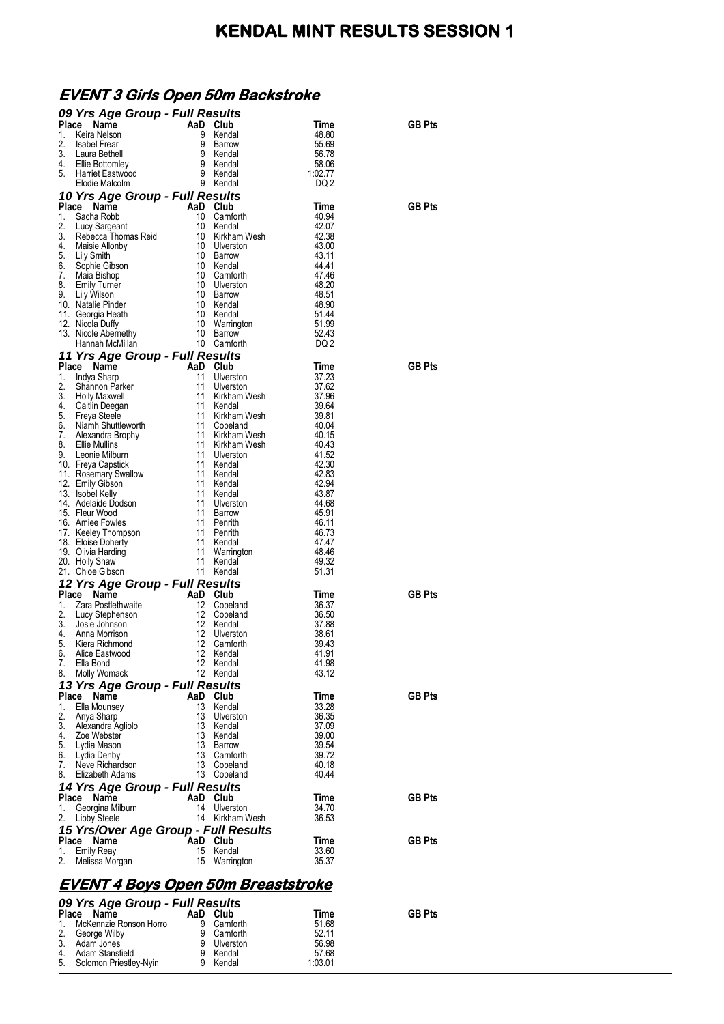|             | <u>EVENT 3 Girls Open 50m Backstroke</u>                                                                                                                                                                                                                                                         |           |                         |                  |               |
|-------------|--------------------------------------------------------------------------------------------------------------------------------------------------------------------------------------------------------------------------------------------------------------------------------------------------|-----------|-------------------------|------------------|---------------|
|             | 09 Yrs Age Group - Full Results                                                                                                                                                                                                                                                                  |           |                         |                  |               |
|             | Place Name<br>Ce Name<br>Keira Nelson<br>Label Frear<br>Laura Bethell<br>Ellie Bottomley<br>Harriet Eastwood<br>Elvis Alcolm<br>The Alcolm<br>Charries Strength (1990)<br>Strength (1990)<br>Strength (1990)<br>Strength (1990)<br>Strength (1990)<br>Strength (1990)<br>                        |           |                         | Time             | <b>GB Pts</b> |
| 1.<br>2.    |                                                                                                                                                                                                                                                                                                  |           |                         | 48.80<br>55.69   |               |
| 3.          |                                                                                                                                                                                                                                                                                                  |           |                         | 56.78            |               |
| 4.          |                                                                                                                                                                                                                                                                                                  |           |                         | 58.06            |               |
| 5.          |                                                                                                                                                                                                                                                                                                  |           |                         | 1:02.77<br>DQ 2  |               |
|             |                                                                                                                                                                                                                                                                                                  |           |                         |                  |               |
|             | 10 Yrs Age Group - Full Results<br><b>10 Yrs Age Group - Full Results</b><br>Place Name<br>10 Club<br>2. Lucy Sargeant<br>10 Cenforth<br>10 Kendal<br>3. Rebecca Thomas Reid<br>10 Kirkham Wesh<br>4. Maisie Allohy<br>6. Sophie Gibson<br>6. Sophie Gibson<br>10 Gamforth<br>7. Maia Bishop<br> |           |                         | Time             | <b>GB Pts</b> |
|             |                                                                                                                                                                                                                                                                                                  |           |                         | 40.94            |               |
|             |                                                                                                                                                                                                                                                                                                  |           |                         | 42.07            |               |
|             |                                                                                                                                                                                                                                                                                                  |           |                         | 42.38<br>43.00   |               |
|             |                                                                                                                                                                                                                                                                                                  |           |                         | 43.11            |               |
|             |                                                                                                                                                                                                                                                                                                  |           |                         | 44.41            |               |
|             |                                                                                                                                                                                                                                                                                                  |           |                         | 47.46<br>48.20   |               |
|             |                                                                                                                                                                                                                                                                                                  |           |                         | 48.51            |               |
|             |                                                                                                                                                                                                                                                                                                  |           |                         | 48.90            |               |
|             |                                                                                                                                                                                                                                                                                                  |           |                         | 51.44<br>51.99   |               |
|             |                                                                                                                                                                                                                                                                                                  |           |                         | 52.43            |               |
|             |                                                                                                                                                                                                                                                                                                  |           |                         | DQ 2             |               |
|             |                                                                                                                                                                                                                                                                                                  |           |                         |                  |               |
|             |                                                                                                                                                                                                                                                                                                  |           |                         | Time             | <b>GB Pts</b> |
|             |                                                                                                                                                                                                                                                                                                  |           |                         | 37.23<br>37.62   |               |
|             |                                                                                                                                                                                                                                                                                                  |           |                         | 37.96            |               |
|             |                                                                                                                                                                                                                                                                                                  |           |                         | 39.64            |               |
|             |                                                                                                                                                                                                                                                                                                  |           |                         | 39.81<br>-40.04  |               |
|             |                                                                                                                                                                                                                                                                                                  |           |                         | - 40.15          |               |
|             |                                                                                                                                                                                                                                                                                                  |           |                         | 40.43            |               |
|             |                                                                                                                                                                                                                                                                                                  |           |                         | 41.52            |               |
|             |                                                                                                                                                                                                                                                                                                  |           |                         | 42.30<br>42.83   |               |
|             |                                                                                                                                                                                                                                                                                                  |           |                         | 42.94            |               |
|             |                                                                                                                                                                                                                                                                                                  |           |                         | 43.87            |               |
|             |                                                                                                                                                                                                                                                                                                  |           |                         | 44.68<br>45.91   |               |
|             |                                                                                                                                                                                                                                                                                                  |           |                         | 46.11            |               |
|             |                                                                                                                                                                                                                                                                                                  |           |                         | 46.73            |               |
|             |                                                                                                                                                                                                                                                                                                  |           |                         | 47.47<br>- 48.46 |               |
|             |                                                                                                                                                                                                                                                                                                  |           |                         | 49.32            |               |
|             |                                                                                                                                                                                                                                                                                                  |           |                         | 51.31            |               |
|             | Nicola Dun,<br>Nicola Dun,<br><b>1 Arrs Age Group - Full Results and McMillan</b><br><b>1 Arrs Age Group - Full Results and Club</b><br>Indya Shamp<br>Shamnon Parker<br>Holly Maxwell<br>Holly Maxwell<br>The Card of the Units of the Nicham Wesh<br>Nia                                       |           |                         |                  |               |
|             | <b>Example:</b><br><b>Example:</b><br><b>Example:</b><br><b>Example:</b><br><b>Example:</b><br><b>Example:</b><br><b>Example:</b><br><b>Example:</b><br><b>Example:</b><br><b>Example:</b><br><b>Example:</b><br><b>Example:</b><br><b>Example:</b><br><b>Example:</b><br><b>Example:</b>        |           |                         | Time<br>36.37    | <b>GB Pts</b> |
| 2.          |                                                                                                                                                                                                                                                                                                  | 12        | Copeland<br>Copeland    | 36.50            |               |
| 3.          |                                                                                                                                                                                                                                                                                                  | 12        | Kendal                  | 37.88            |               |
|             | 4. Anna Morrison                                                                                                                                                                                                                                                                                 |           | 12 Ulverston            | 38.61            |               |
| 5.<br>6.    | Kiera Richmond<br>Alice Eastwood                                                                                                                                                                                                                                                                 | 12<br>12  | Camforth<br>Kendal      | 39.43<br>41.91   |               |
| 7.          | Ella Bond                                                                                                                                                                                                                                                                                        | 12        | Kendal                  | 41.98            |               |
|             | 8. Molly Womack                                                                                                                                                                                                                                                                                  | 12        | Kendal                  | 43.12            |               |
|             | 13 Yrs Age Group - Full Results                                                                                                                                                                                                                                                                  |           |                         |                  |               |
| Place<br>1. | Name<br>Ella Mounsey                                                                                                                                                                                                                                                                             | AaD<br>13 | Club<br>Kendal          | Time<br>33.28    | <b>GB Pts</b> |
| 2.          | Anya Sharp                                                                                                                                                                                                                                                                                       | 13        | Ulverston               | 36.35            |               |
| 3.          | Alexandra Agliolo                                                                                                                                                                                                                                                                                | 13        | Kendal                  | 37.09            |               |
| 5.          | 4. Zoe Webster<br>Lydia Mason                                                                                                                                                                                                                                                                    | 13<br>13  | Kendal<br>Barrow        | 39.00<br>39.54   |               |
| 6.          | Lydia Denby                                                                                                                                                                                                                                                                                      | 13        | Camforth                | 39.72            |               |
| 7.          | Neve Richardson                                                                                                                                                                                                                                                                                  | 13        | Copeland                | 40.18            |               |
| 8.          | Elizabeth Adams                                                                                                                                                                                                                                                                                  | 13        | Copeland                | 40.44            |               |
|             | 14 Yrs Age Group - Full Results                                                                                                                                                                                                                                                                  |           |                         |                  |               |
| Place<br>1. | Name<br>Georgina Milburn                                                                                                                                                                                                                                                                         | AaD<br>14 | Club<br>Ulverston       | Time<br>34.70    | <b>GB Pts</b> |
| 2.          | Libby Steele                                                                                                                                                                                                                                                                                     |           | 14 Kirkham Wesh         | 36.53            |               |
|             | 15 Yrs/Over Age Group - Full Results                                                                                                                                                                                                                                                             |           |                         |                  |               |
| Place       | Name                                                                                                                                                                                                                                                                                             | AaD Club  |                         | Time             | <b>GB Pts</b> |
| 1.<br>2.    | Emily Reay<br>Melissa Morgan                                                                                                                                                                                                                                                                     | 15        | Kendal<br>15 Warrington | 33.60<br>35.37   |               |
|             |                                                                                                                                                                                                                                                                                                  |           |                         |                  |               |
|             | <u>EVENT 4 Boys Open 50m Breaststroke</u>                                                                                                                                                                                                                                                        |           |                         |                  |               |
|             | 09 Yrs Age Group - Full Results                                                                                                                                                                                                                                                                  |           |                         |                  |               |
| Place       | Name                                                                                                                                                                                                                                                                                             |           | AaD Club                | Time             | <b>GB Pts</b> |
|             | 1. McKennzie Ronson Horro                                                                                                                                                                                                                                                                        |           | 9 Camforth              | 51.68            |               |

2. George Wilby 9 Carnforth 52.11 3. Adam Jones 9 Ulverston 56.98 4. Adam Stansfield 9 Kendal 57.68 5. Solomon Priestley-Nyin 9 Kendal 1:03.01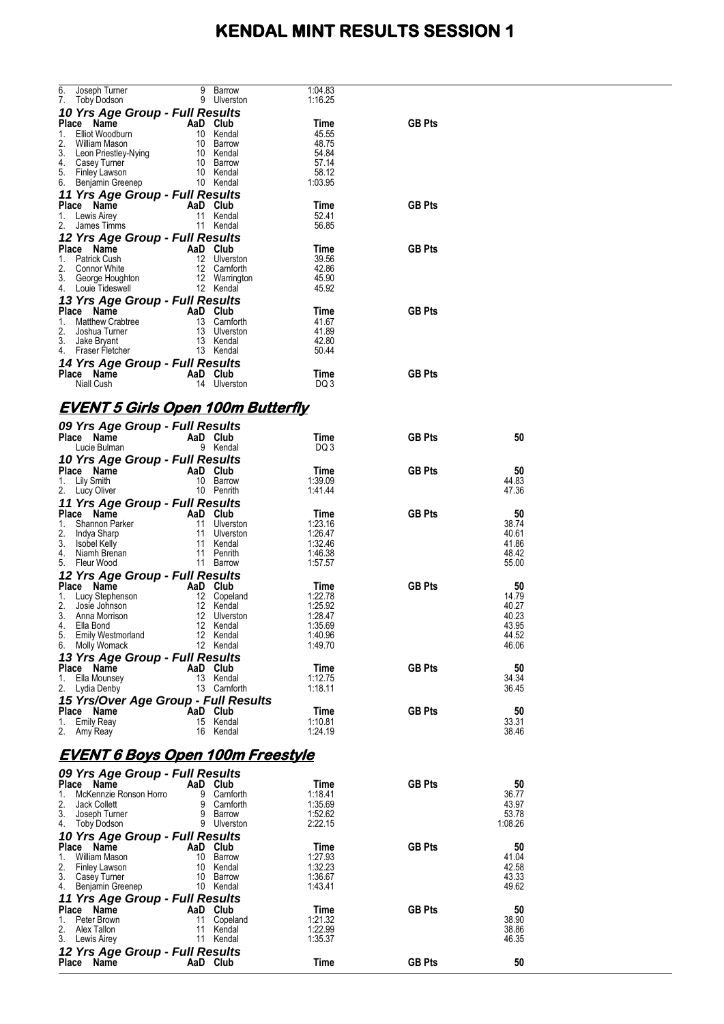|    | 6. Joseph Turner                                                          | 9 | Barrow                     | 1:04.83            |               |                  |  |
|----|---------------------------------------------------------------------------|---|----------------------------|--------------------|---------------|------------------|--|
|    | 7. Toby Dodson                                                            |   | 9 Ulverston                | 1:16.25            |               |                  |  |
|    | 10 Yrs Age Group - Full Results                                           |   |                            |                    | <b>GB Pts</b> |                  |  |
|    | Place Name<br>1. Elliot Woodburn                                          |   | AaD Club<br>10 Kendal      | Time<br>45.55      |               |                  |  |
| 2. | William Mason                                                             |   | 10 Barrow                  | 48.75              |               |                  |  |
|    | 3. Leon Priestley-Nying                                                   |   | 10 Kendal                  | 54.84              |               |                  |  |
|    | 4. Casey Turner<br>5. Finley Lawson                                       |   | 10 Barrow<br>10 Kendal     | 57.14<br>58.12     |               |                  |  |
|    | 6. Benjamin Greenep                                                       |   | 10 Kendal                  | 1:03.95            |               |                  |  |
|    | 11 Yrs Age Group - Full Results                                           |   |                            |                    |               |                  |  |
|    | Place Name                                                                |   | AaD Club                   | Time               | <b>GB Pts</b> |                  |  |
|    | 1. Lewis Airey<br>2. James Timms                                          |   | 11 Kendal<br>11 Kendal     | 52.41<br>56.85     |               |                  |  |
|    | 12 Yrs Age Group - Full Results                                           |   |                            |                    |               |                  |  |
|    | Place Name                                                                |   | AaD Club                   | Time               | <b>GB Pts</b> |                  |  |
|    | 1. Patrick Cush                                                           |   | 12 Ulverston               | 39.56              |               |                  |  |
|    | 2. Connor White                                                           |   | 12 Camforth                | 42.86              |               |                  |  |
|    | 3. George Houghton<br>4. Louie Tideswell                                  |   | 12 Warrington<br>12 Kendal | 45.90<br>45.92     |               |                  |  |
|    | 13 Yrs Age Group - Full Results                                           |   |                            |                    |               |                  |  |
|    | Place Name                                                                |   | AaD Club                   | Time               | <b>GB Pts</b> |                  |  |
|    | 1. Matthew Crabtree                                                       |   | 13 Carnforth               | 41.67              |               |                  |  |
|    | 2. Joshua Turner                                                          |   | 13 Ulverston               | 41.89              |               |                  |  |
|    | 3. Jake Bryant<br>4. Fraser Fletcher                                      |   | 13 Kendal<br>13 Kendal     | 42.80<br>50.44     |               |                  |  |
|    | 14 Yrs Age Group - Full Results                                           |   |                            |                    |               |                  |  |
|    | Place Name                                                                |   | AaD Club                   | Time               | <b>GB Pts</b> |                  |  |
|    | Niall Cush                                                                |   | 14 Ulverston               | DQ 3               |               |                  |  |
|    |                                                                           |   |                            |                    |               |                  |  |
|    | <u>EVENT 5 Girls Open 100m Butterfly</u>                                  |   |                            |                    |               |                  |  |
|    | 09 Yrs Age Group - Full Results                                           |   |                            |                    |               |                  |  |
|    | Place Name                                                                |   | AaD Club                   | Time               | <b>GB Pts</b> | 50               |  |
|    | Lucie Bulman                                                              |   | 9 Kendal                   | DQ 3               |               |                  |  |
|    | 10 Yrs Age Group - Full Results<br>Place Name<br>an an India.<br>Tagairtí |   | AaD Club                   | Time               | <b>GB Pts</b> | 50               |  |
|    | 1. Lily Smith                                                             |   | 10 Barrow                  | 1:39.09            |               | 44.83            |  |
|    | 2. Lucy Oliver                                                            |   | 10 Penrith                 | 1:41.44            |               | 47.36            |  |
|    | 11 Yrs Age Group - Full Results                                           |   |                            |                    |               |                  |  |
|    | Place Name<br>1. Shannon Parker                                           |   | AaD Club<br>11 Ulverston   | Time<br>1:23.16    | <b>GB Pts</b> | 50<br>38.74      |  |
|    | 2. Indya Sharp                                                            |   | 11 Ulverston               | 1:26.47            |               | 40.61            |  |
|    | 3. Isobel Kelly                                                           |   | 11 Kendal                  | 1:32.46            |               | 41.86            |  |
|    | 4. Niamh Brenan                                                           |   | 11 Penrith<br>11 Barrow    | 1:46.38<br>1:57.57 |               | 48.42<br>55.00   |  |
|    | 5. Fleur Wood<br>12 Yrs Age Group - Full Results                          |   |                            |                    |               |                  |  |
|    | Place Name                                                                |   | AaD Club                   | Time               | <b>GB Pts</b> | 50               |  |
|    | 1. Lucy Stephenson                                                        |   | 12 Copeland                | 1:22.78            |               | 14.79            |  |
|    | 2. Josie Johnson                                                          |   | 12 Kendal                  | 1:25.92            |               | 40.27            |  |
|    | 3. Anna Morrison<br>4. Ella Bond                                          |   | 12 Ulverston<br>12 Kendal  | 1:28.47<br>1:35.69 |               | 40.23<br>43.95   |  |
|    | 5. Emily Westmorland                                                      |   | 12 Kendal                  | 1:40.96            |               | 44.52            |  |
|    | 6. Molly Womack                                                           |   | 12 Kendal                  | 1:49.70            |               | 46.06            |  |
|    | 13 Yrs Age Group - Full Results                                           |   |                            |                    |               |                  |  |
|    | Place Name<br>1. Ella Mounsey                                             |   | AaD Club<br>13 Kendal      | Time<br>1:12.75    | <b>GB Pts</b> | 50<br>34.34      |  |
|    | 2. Lydia Denby                                                            |   | 13 Camforth                | 1:18.11            |               | 36.45            |  |
|    | 15 Yrs/Over Age Group - Full Results                                      |   |                            |                    |               |                  |  |
|    | Place Name                                                                |   | AaD Club                   | Time               | <b>GB Pts</b> | 50               |  |
|    | 1. Emily Reav<br>2. Amy Reay                                              |   | 15 Kendal<br>16 Kendal     | 1:10.81<br>1:24.19 |               | 33.31<br>38.46   |  |
|    |                                                                           |   |                            |                    |               |                  |  |
|    | <u>EVENT 6 Boys Open 100m Freestyle</u>                                   |   |                            |                    |               |                  |  |
|    | 09 Yrs Age Group - Full Results                                           |   |                            |                    |               |                  |  |
|    | Place Name                                                                |   | AaD Club                   | Time               | <b>GB Pts</b> | 50               |  |
|    | 1. McKennzie Ronson Horro                                                 |   | 9 Camforth                 | 1:18.41            |               | 36.77            |  |
|    | 2. Jack Collett                                                           |   | 9 Camforth                 | 1:35.69            |               | 43.97            |  |
|    | 3. Joseph Turner<br>4. Toby Dodson                                        |   | 9 Barrow<br>9 Ulverston    | 1:52.62<br>2:22.15 |               | 53.78<br>1:08.26 |  |
|    | 10 Yrs Age Group - Full Results                                           |   |                            |                    |               |                  |  |
|    | Place Name                                                                |   | AaD Club                   | Time               | <b>GB Pts</b> | 50               |  |
|    | 1. William Mason                                                          |   | 10 Barrow                  | 1:27.93            |               | 41.04            |  |
|    | 2. Finley Lawson<br>3. Casey Turner                                       |   | 10 Kendal<br>10 Barrow     | 1:32.23<br>1:36.67 |               | 42.58<br>43.33   |  |
|    | 4. Benjamin Greenep                                                       |   | 10 Kendal                  | 1:43.41            |               | 49.62            |  |
|    | 11 Yrs Age Group - Full Results                                           |   |                            |                    |               |                  |  |
|    | Place Name                                                                |   | AaD Club                   | Time               | <b>GB Pts</b> | 50               |  |
|    | 1. Peter Brown<br>2. Alex Tallon                                          |   | 11 Copeland<br>11 Kendal   | 1:21.32<br>1:22.99 |               | 38.90<br>38.86   |  |
|    | 3. Lewis Airey                                                            |   | 11 Kendal                  | 1:35.37            |               | 46.35            |  |
|    | 12 Yrs Age Group - Full Results                                           |   |                            |                    |               |                  |  |
|    | Place Name                                                                |   | AaD Club                   | Time               | <b>GB Pts</b> | 50               |  |
|    |                                                                           |   |                            |                    |               |                  |  |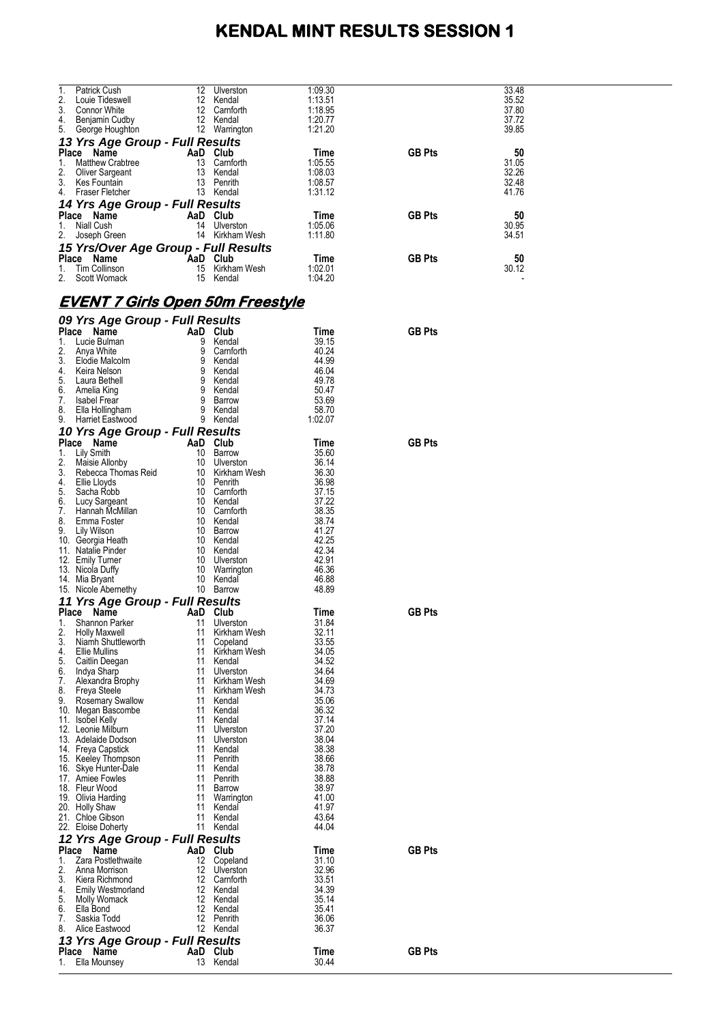| 1.          | Patrick Cush                            | 12  | Ulverston             | 1:09.30       |               | 33.48 |  |
|-------------|-----------------------------------------|-----|-----------------------|---------------|---------------|-------|--|
| 2.          | Louie Tideswell                         |     | 12 Kendal             | 1:13.51       |               | 35.52 |  |
| 3.          | <b>Connor White</b>                     | 12  | Camforth              | 1:18.95       |               | 37.80 |  |
| 4.          | Benjamin Cudby                          |     | 12 Kendal             | 1:20.77       |               | 37.72 |  |
|             | 5. George Houghton                      |     | 12 Warrington         | 1:21.20       |               | 39.85 |  |
|             |                                         |     |                       |               |               |       |  |
|             | 13 Yrs Age Group - Full Results         |     |                       |               |               |       |  |
|             | Place Name                              |     | AaD Club              | Time          | <b>GB Pts</b> | 50    |  |
| 1.          | <b>Matthew Crabtree</b>                 | 13  | Camforth              | 1:05.55       |               | 31.05 |  |
| 2.          |                                         |     | 13 Kendal             | 1:08.03       |               | 32.26 |  |
|             | <b>Oliver Sargeant</b>                  |     |                       |               |               |       |  |
| 3.          | Kes Fountain                            | 13  | Penrith               | 1:08.57       |               | 32.48 |  |
| 4.          | Fraser Fletcher                         |     | 13 Kendal             | 1:31.12       |               | 41.76 |  |
|             | 14 Yrs Age Group - Full Results         |     |                       |               |               |       |  |
|             |                                         |     |                       |               |               |       |  |
|             | Place Name                              |     | AaD Club              | Time          | <b>GB Pts</b> | 50    |  |
| 1.          | Niall Cush                              |     | 14 Ulverston          | 1:05.06       |               | 30.95 |  |
| 2.          | Joseph Green                            |     | 14 Kirkham Wesh       | 1:11.80       |               | 34.51 |  |
|             | 15 Yrs/Over Age Group - Full Results    |     |                       |               |               |       |  |
|             |                                         |     |                       |               |               |       |  |
|             | Place Name                              | AaD | Club                  | Time          | <b>GB Pts</b> | 50    |  |
| 1.          | <b>Tim Collinson</b>                    |     | 15 Kirkham Wesh       | 1:02.01       |               | 30.12 |  |
| 2.          | Scott Womack                            | 15  | Kendal                | 1:04.20       |               |       |  |
|             |                                         |     |                       |               |               |       |  |
|             |                                         |     |                       |               |               |       |  |
|             | <u>EVENT 7 Girls Open 50m Freestyle</u> |     |                       |               |               |       |  |
|             |                                         |     |                       |               |               |       |  |
|             | 09 Yrs Age Group - Full Results         |     |                       |               |               |       |  |
|             | Place Name                              |     | AaD Club              | Time          | <b>GB Pts</b> |       |  |
| 1.          | Lucie Bulman                            |     | 9 Kendal              | 39.15         |               |       |  |
| 2.          |                                         | 9   | Camforth              | 40.24         |               |       |  |
|             | Anya White                              |     |                       |               |               |       |  |
| 3.          | Elodie Malcolm                          | 9   | Kendal                | 44.99         |               |       |  |
| 4.          | Keira Nelson                            |     | 9 Kendal              | 46.04         |               |       |  |
| 5.          | Laura Bethell                           | 9   | Kendal                | 49.78         |               |       |  |
| 6.          | Amelia King                             | 9   | Kendal                | 50.47         |               |       |  |
| 7.          | <b>Isabel Frear</b>                     | 9   | Barrow                | 53.69         |               |       |  |
| 8.          | Ella Hollingham                         | 9   | Kendal                | 58.70         |               |       |  |
|             |                                         |     |                       |               |               |       |  |
| 9.          | Harriet Eastwood                        |     | 9 Kendal              | 1:02.07       |               |       |  |
|             | 10 Yrs Age Group - Full Results         |     |                       |               |               |       |  |
|             | Place Name                              |     | AaD Club              | Time          | <b>GB Pts</b> |       |  |
| 1.          | Lily Smith                              | 10  | Barrow                | 35.60         |               |       |  |
|             |                                         |     |                       |               |               |       |  |
| 2.          | Maisie Allonby                          | 10  | Ulverston             | 36.14         |               |       |  |
| 3.          | Rebecca Thomas Reid                     |     | 10 Kirkham Wesh       | 36.30         |               |       |  |
| 4.          | Ellie Lloyds                            | 10  | Penrith               | 36.98         |               |       |  |
| 5.          | Sacha Robb                              |     | 10 Camforth           | 37.15         |               |       |  |
| 6.          | Lucy Sargeant                           |     | 10 Kendal             | 37.22         |               |       |  |
| 7.          | Hannah McMillan                         | 10  | Camforth              | 38.35         |               |       |  |
| 8.          | Emma Foster                             |     | 10 Kendal             | 38.74         |               |       |  |
|             |                                         |     |                       | 41.27         |               |       |  |
| 9.          | Lily Wilson                             |     | 10 Barrow             |               |               |       |  |
|             |                                         |     |                       |               |               |       |  |
|             | 10. Georgia Heath                       | 10  | Kendal                | 42.25         |               |       |  |
|             | 11. Natalie Pinder                      | 10  | Kendal                | 42.34         |               |       |  |
|             |                                         | 10  | Ulverston             | 42.91         |               |       |  |
|             | 12. Emily Turner                        |     |                       |               |               |       |  |
|             | 13. Nicola Duffy                        | 10  | Warrington            | 46.36         |               |       |  |
|             | 14. Mia Bryant                          |     | 10 Kendal             | 46.88         |               |       |  |
|             | 15. Nicole Abernethy                    |     | 10 Barrow             | 48.89         |               |       |  |
|             |                                         |     |                       |               |               |       |  |
|             | 11 Yrs Age Group - Full Results         |     |                       |               |               |       |  |
|             | Place Name                              | AaD | Club                  | Time          | <b>GB Pts</b> |       |  |
| 1.          | Shannon Parker                          | 11  | Ulverston             | 31.84         |               |       |  |
| 2.          | Holly Maxwell                           | 11  | Kirkham Wesh          | 32.11         |               |       |  |
| 3.          | Niamh Shuttleworth                      | 11  | Copeland              | 33.55         |               |       |  |
| 4.          | <b>Ellie Mullins</b>                    | 11  | Kirkham Wesh          | 34.05         |               |       |  |
| 5.          | Caitlin Deegan                          | 11  | Kendal                | 34.52         |               |       |  |
| 6.          | Indya Sharp                             | 11  | Ulverston             | 34.64         |               |       |  |
| 7.          | Alexandra Brophy                        | 11  | Kirkham Wesh          | 34.69         |               |       |  |
| 8.          |                                         | 11  | Kirkham Wesh          | 34.73         |               |       |  |
|             | Freya Steele                            |     |                       |               |               |       |  |
| 9.          | <b>Rosemary Swallow</b>                 | 11  | Kendal                | 35.06         |               |       |  |
|             | 10. Megan Bascombe                      | 11  | Kendal                | 36.32         |               |       |  |
|             | 11. Isobel Kelly                        | 11  | Kendal                | 37.14         |               |       |  |
|             | 12. Leonie Milburn                      | 11  | Ulverston             | 37.20         |               |       |  |
|             | 13. Adelaide Dodson                     | 11  | Ulverston             | 38.04         |               |       |  |
|             | 14. Freya Capstick                      | 11  | Kendal                | 38.38         |               |       |  |
|             | 15. Keeley Thompson                     | 11  | Penrith               | 38.66         |               |       |  |
|             | 16. Skye Hunter-Dale                    | 11  | Kendal                | 38.78         |               |       |  |
|             |                                         | 11  |                       |               |               |       |  |
|             | 17. Amiee Fowles                        |     | Penrith               | 38.88         |               |       |  |
|             | 18. Fleur Wood                          | 11  | Barrow                | 38.97         |               |       |  |
|             | 19. Olivia Harding                      | 11  | Warrington            | 41.00         |               |       |  |
|             | 20. Holly Shaw                          | 11  | Kendal                | 41.97         |               |       |  |
|             | 21. Chloe Gibson                        | 11  | Kendal                | 43.64         |               |       |  |
|             | 22. Eloise Doherty                      | 11  | Kendal                | 44.04         |               |       |  |
|             |                                         |     |                       |               |               |       |  |
|             | 12 Yrs Age Group - Full Results         |     |                       |               |               |       |  |
| Place       | Name                                    |     | AaD Club              | Time          | <b>GB Pts</b> |       |  |
| 1.          | Zara Postlethwaite                      | 12  | Copeland              | 31.10         |               |       |  |
| 2.          | Anna Morrison                           | 12  | Ulverston             | 32.96         |               |       |  |
| 3.          | Kiera Richmond                          | 12  | Camforth              | 33.51         |               |       |  |
| 4.          |                                         | 12  | Kendal                |               |               |       |  |
|             | <b>Emily Westmorland</b>                |     |                       | 34.39         |               |       |  |
| 5.          | Molly Womack                            | 12  | Kendal                | 35.14         |               |       |  |
| 6.          | Ella Bond                               | 12  | Kendal                | 35.41         |               |       |  |
| 7.          | Saskia Todd                             | 12  | Penrith               | 36.06         |               |       |  |
| 8.          | Alice Eastwood                          |     | 12 Kendal             | 36.37         |               |       |  |
|             |                                         |     |                       |               |               |       |  |
|             | 13 Yrs Age Group - Full Results         |     |                       |               |               |       |  |
| Place<br>1. | Name<br>Ella Mounsey                    |     | AaD Club<br>13 Kendal | Time<br>30.44 | <b>GB Pts</b> |       |  |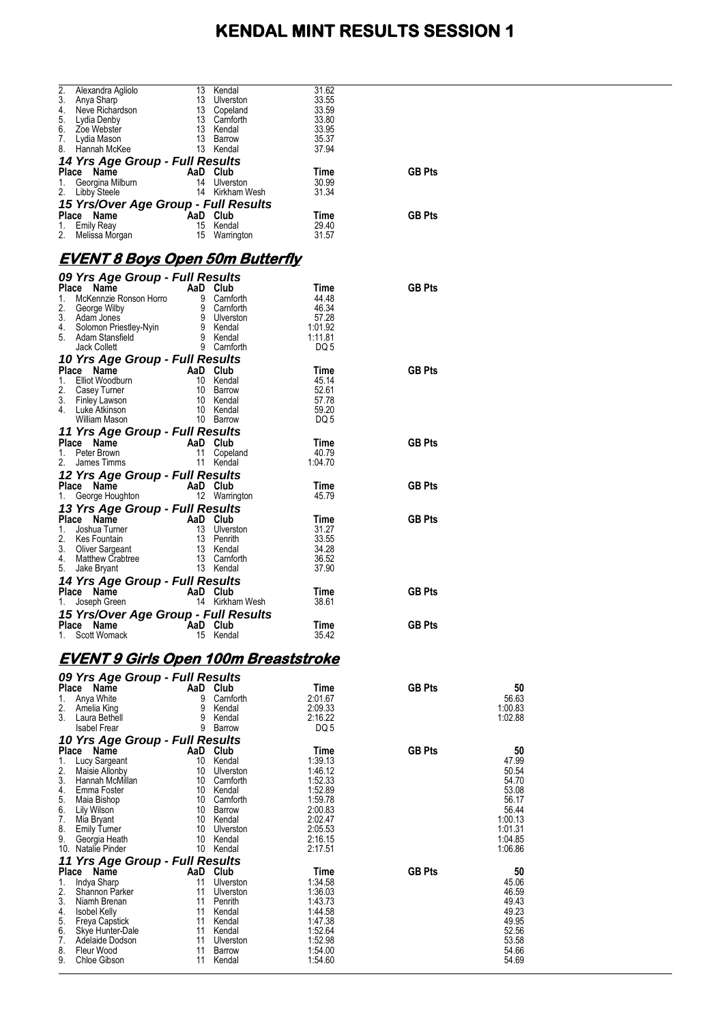|          | Alexandra Agliolo<br>Anya Sharp 13 Ulverston<br>Neve Richardson 13 Copeland<br>Lydia Denby 13 Canforth<br>Zoe Webster 13 Kendal<br>Lydia Mason 13 Barrow                                                                             |          |                           | 31.62              |               |                |
|----------|--------------------------------------------------------------------------------------------------------------------------------------------------------------------------------------------------------------------------------------|----------|---------------------------|--------------------|---------------|----------------|
|          | 3. Anya Sharp                                                                                                                                                                                                                        |          |                           | 33.55              |               |                |
| 4.       |                                                                                                                                                                                                                                      |          |                           | 33.59              |               |                |
| 5.       | 6. Zoe Webster                                                                                                                                                                                                                       |          |                           | 33.80<br>33.95     |               |                |
| 7.       | Lydia Mason                                                                                                                                                                                                                          |          | 13 Barrow                 | 35.37              |               |                |
|          | 8. Hannah McKee                                                                                                                                                                                                                      |          | 13 Kendal                 | 37.94              |               |                |
|          | 14 Yrs Age Group - Full Results                                                                                                                                                                                                      |          |                           |                    |               |                |
|          | Place Name                                                                                                                                                                                                                           |          | AaD Club                  | Time               | <b>GB Pts</b> |                |
| 1.       | Georgina Milburn                                                                                                                                                                                                                     |          | 14 Ulverston              | 30.99              |               |                |
| 2.       | Libby Steele                                                                                                                                                                                                                         |          | 14 Kirkham Wesh           | 31.34              |               |                |
|          | 15 Yrs/Over Age Group - Full Results                                                                                                                                                                                                 |          |                           |                    |               |                |
|          | Place Name<br>$A$ a $D$ Club                                                                                                                                                                                                         |          |                           | Time               | <b>GB Pts</b> |                |
| 1.       |                                                                                                                                                                                                                                      |          |                           | 29.40              |               |                |
| 2.       | 15 Kendal<br>Melissa Morgan 15 Kendal<br>15 Warring                                                                                                                                                                                  |          | 15 Warrington             | 31.57              |               |                |
|          |                                                                                                                                                                                                                                      |          |                           |                    |               |                |
|          | <u>EVENT 8 Boys Open 50m Butterfly</u>                                                                                                                                                                                               |          |                           |                    |               |                |
|          | 09 Yrs Age Group - Full Results                                                                                                                                                                                                      |          |                           |                    |               |                |
|          | <b>Case of Case of Case of Case of Case of Case of Case of Case of Case of Case of Case of Case of Case of Case of Case of Case of Case of Case of Case of Case of Case of Case of Case of Case of Case of Case of Case of Case </b> |          |                           | Time               | <b>GB Pts</b> |                |
|          |                                                                                                                                                                                                                                      |          |                           | 44.48              |               |                |
|          |                                                                                                                                                                                                                                      |          |                           | 46.34              |               |                |
|          |                                                                                                                                                                                                                                      |          |                           | 57.28              |               |                |
|          |                                                                                                                                                                                                                                      |          |                           | 1:01.92<br>1:11.81 |               |                |
|          |                                                                                                                                                                                                                                      |          |                           | DQ 5               |               |                |
|          | 10 Yrs Age Group - Full Results                                                                                                                                                                                                      |          |                           |                    |               |                |
|          |                                                                                                                                                                                                                                      |          |                           | Time               | <b>GB Pts</b> |                |
|          |                                                                                                                                                                                                                                      |          |                           | 45.14              |               |                |
|          |                                                                                                                                                                                                                                      |          |                           | 52.61              |               |                |
|          |                                                                                                                                                                                                                                      |          |                           | 57.78              |               |                |
|          |                                                                                                                                                                                                                                      |          |                           | 59.20              |               |                |
|          |                                                                                                                                                                                                                                      |          |                           | DQ 5               |               |                |
|          | 11 Yrs Age Group - Full Results                                                                                                                                                                                                      |          |                           |                    |               |                |
|          | Place Name<br>an Partido                                                                                                                                                                                                             |          | AaD Club                  | Time               | <b>GB Pts</b> |                |
| 1.<br>2. | Peter Brown<br>James Timms                                                                                                                                                                                                           |          | 11 Copeland<br>11 Kendal  | 40.79<br>1:04.70   |               |                |
|          |                                                                                                                                                                                                                                      |          |                           |                    |               |                |
|          | 12 Yrs Age Group - Full Results                                                                                                                                                                                                      |          |                           |                    |               |                |
| 1.       | Place Name<br>George Houghton                                                                                                                                                                                                        |          | AaD Club<br>12 Warrington | Time<br>45.79      | <b>GB Pts</b> |                |
|          |                                                                                                                                                                                                                                      |          |                           |                    |               |                |
|          | 13 Yrs Age Group - Full Results                                                                                                                                                                                                      |          |                           | Time               | <b>GB Pts</b> |                |
|          |                                                                                                                                                                                                                                      |          |                           |                    |               |                |
|          |                                                                                                                                                                                                                                      |          |                           |                    |               |                |
|          |                                                                                                                                                                                                                                      |          |                           | 31.27              |               |                |
|          |                                                                                                                                                                                                                                      |          |                           | 33.55<br>34.28     |               |                |
|          |                                                                                                                                                                                                                                      |          |                           | 36.52              |               |                |
| 5.       | Place Name AaD Club<br>1. Joshua Turner AaD Club<br>1. Joshua Turner 13 Ulverston<br>2. Kes Fountain 13 Penrith<br>3. Oliver Sargeant 13 Kendal<br>5. Jake Bryant 13 Camforth<br>5. Jake Bryant<br>Jake Bryant                       |          | 13 Kendal                 | 37.90              |               |                |
|          |                                                                                                                                                                                                                                      |          |                           |                    |               |                |
|          | 14 Yrs Age Group - Full Results<br>Place Name                                                                                                                                                                                        |          | AaD Club                  | Time               | <b>GB Pts</b> |                |
| 1.       | $\begin{array}{c} \cdot \\ \cdot \\ \cdot \end{array}$<br>Joseph Green                                                                                                                                                               |          | 14 Kirkham Wesh           | 38.61              |               |                |
|          | 15 Yrs/Over Age Group - Full Results                                                                                                                                                                                                 |          |                           |                    |               |                |
|          | AaD Club<br>Place Name                                                                                                                                                                                                               |          |                           | <b>Time</b>        | <b>GB Pts</b> |                |
|          | 1. Scott Womack                                                                                                                                                                                                                      |          | 15 Kendal                 | 35.42              |               |                |
|          |                                                                                                                                                                                                                                      |          |                           |                    |               |                |
|          | <u>EVENT 9 Girls Open 100m Breaststroke</u>                                                                                                                                                                                          |          |                           |                    |               |                |
|          | 09 Yrs Age Group - Full Results                                                                                                                                                                                                      |          |                           |                    |               |                |
|          | Place Name                                                                                                                                                                                                                           |          | AaD Club                  | Time               | <b>GB Pts</b> | 50             |
| 1.       | Anya White                                                                                                                                                                                                                           | 9        | Carnforth                 | 2:01.67            |               | 56.63          |
| 2.       | Amelia King                                                                                                                                                                                                                          | 9        | Kendal                    | 2:09.33            |               | 1:00.83        |
| 3.       | Laura Bethell                                                                                                                                                                                                                        | 9        | Kendal                    | 2:16.22            |               | 1:02.88        |
|          | <b>Isabel Frear</b>                                                                                                                                                                                                                  |          | 9 Barrow                  | DQ 5               |               |                |
|          | 10 Yrs Age Group - Full Results                                                                                                                                                                                                      |          |                           |                    |               |                |
| Place    | Name                                                                                                                                                                                                                                 |          | AaD Club                  | Time               | <b>GB Pts</b> | 50             |
| 1.       | Lucy Sargeant                                                                                                                                                                                                                        |          | 10 Kendal                 | 1:39.13            |               | 47.99          |
| 2.       | Maisie Allonby                                                                                                                                                                                                                       |          | 10 Ulverston              | 1:46.12            |               | 50.54          |
| 3.<br>4. | Hannah McMillan                                                                                                                                                                                                                      |          | 10 Camforth               | 1:52.33<br>1:52.89 |               | 54.70          |
| 5.       | Emma Foster                                                                                                                                                                                                                          |          | 10 Kendal<br>10 Camforth  | 1:59.78            |               | 53.08<br>56.17 |
| 6.       | Maia Bishop<br>Lily Wilson                                                                                                                                                                                                           |          | 10 Barrow                 | 2:00.83            |               | 56.44          |
| 7.       | Mia Bryant                                                                                                                                                                                                                           |          | 10 Kendal                 | 2:02.47            |               | 1:00.13        |
| 8.       | Emily Turner                                                                                                                                                                                                                         |          | 10 Ulverston              | 2:05.53            |               | 1:01.31        |
| 9.       | Georgia Heath                                                                                                                                                                                                                        |          | 10 Kendal                 | 2:16.15            |               | 1:04.85        |
|          | 10. Natalie Pinder                                                                                                                                                                                                                   |          | 10 Kendal                 | 2:17.51            |               | 1:06.86        |
|          | 11 Yrs Age Group - Full Results                                                                                                                                                                                                      |          |                           |                    |               |                |
|          | Place Name                                                                                                                                                                                                                           |          | AaD Club                  | Time               | <b>GB Pts</b> | 50             |
| 1.<br>2. | Indya Sharp                                                                                                                                                                                                                          | 11<br>11 | Ulverston<br>Ulverston    | 1:34.58<br>1:36.03 |               | 45.06          |
| 3.       | Shannon Parker<br>Niamh Brenan                                                                                                                                                                                                       | 11       | Penrith                   | 1:43.73            |               | 46.59<br>49.43 |
| 4.       | <b>Isobel Kelly</b>                                                                                                                                                                                                                  |          | 11 Kendal                 | 1:44.58            |               | 49.23          |
| 5.       | Freya Capstick                                                                                                                                                                                                                       |          | 11 Kendal                 | 1:47.38            |               | 49.95          |
| 6.       | Skye Hunter-Dale                                                                                                                                                                                                                     |          | 11 Kendal                 | 1:52.64            |               | 52.56          |
| 7.       | Adelaide Dodson                                                                                                                                                                                                                      | 11       | Ulverston                 | 1:52.98            |               | 53.58          |
| 8.<br>9. | Fleur Wood<br>Chloe Gibson                                                                                                                                                                                                           | 11       | Barrow<br>11 Kendal       | 1:54.00<br>1:54.60 |               | 54.66<br>54.69 |